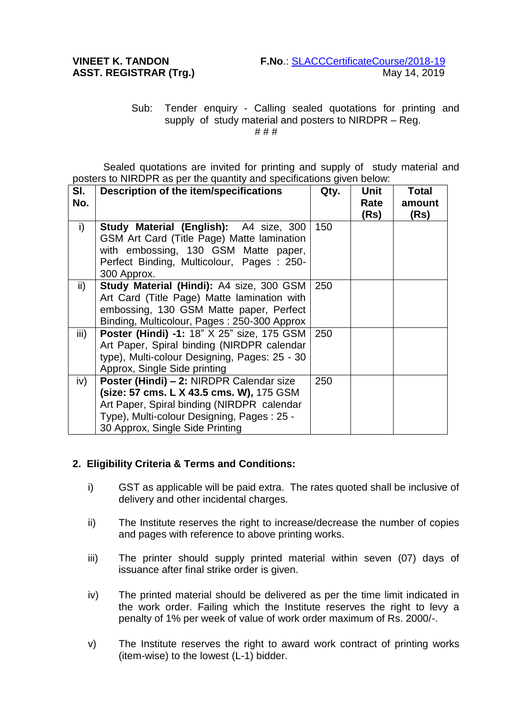## Sub: Tender enquiry - Calling sealed quotations for printing and supply of study material and posters to NIRDPR – Reg. # # #

Sealed quotations are invited for printing and supply of study material and posters to NIRDPR as per the quantity and specifications given below:

| SI.           | Description of the item/specifications                                                                                                                                                                              | Qty. | Unit         | <b>Total</b>   |
|---------------|---------------------------------------------------------------------------------------------------------------------------------------------------------------------------------------------------------------------|------|--------------|----------------|
| No.           |                                                                                                                                                                                                                     |      | Rate<br>(Rs) | amount<br>(Rs) |
| i)            | <b>Study Material (English):</b> A4 size, 300<br>GSM Art Card (Title Page) Matte lamination<br>with embossing, 130 GSM Matte paper,<br>Perfect Binding, Multicolour, Pages: 250-<br>300 Approx.                     | 150  |              |                |
| $\mathsf{ii}$ | <b>Study Material (Hindi): A4 size, 300 GSM</b><br>Art Card (Title Page) Matte lamination with<br>embossing, 130 GSM Matte paper, Perfect<br>Binding, Multicolour, Pages: 250-300 Approx                            | 250  |              |                |
| iii)          | Poster (Hindi) -1: 18" X 25" size, 175 GSM<br>Art Paper, Spiral binding (NIRDPR calendar<br>type), Multi-colour Designing, Pages: 25 - 30<br>Approx, Single Side printing                                           | 250  |              |                |
| iv)           | Poster (Hindi) - 2: NIRDPR Calendar size<br>(size: 57 cms. L X 43.5 cms. W), 175 GSM<br>Art Paper, Spiral binding (NIRDPR calendar<br>Type), Multi-colour Designing, Pages: 25 -<br>30 Approx, Single Side Printing | 250  |              |                |

## **2. Eligibility Criteria & Terms and Conditions:**

- i) GST as applicable will be paid extra. The rates quoted shall be inclusive of delivery and other incidental charges.
- ii) The Institute reserves the right to increase/decrease the number of copies and pages with reference to above printing works.
- iii) The printer should supply printed material within seven (07) days of issuance after final strike order is given.
- iv) The printed material should be delivered as per the time limit indicated in the work order. Failing which the Institute reserves the right to levy a penalty of 1% per week of value of work order maximum of Rs. 2000/-.
- v) The Institute reserves the right to award work contract of printing works (item-wise) to the lowest (L-1) bidder.